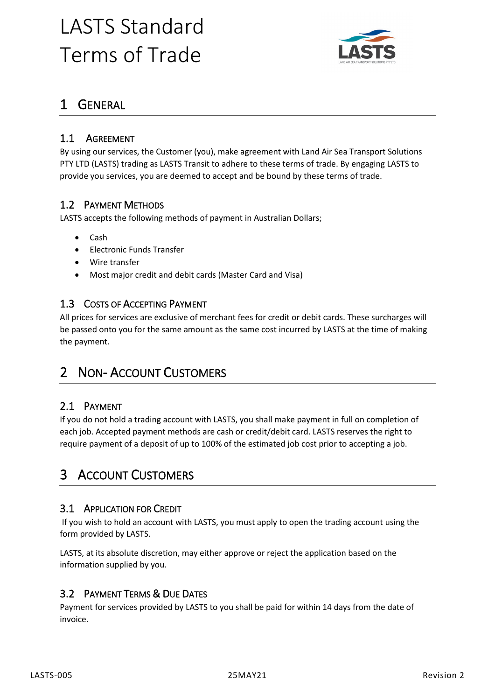# LASTS Standard Terms of Trade



# 1 GENERAL

## 1.1 AGREEMENT

By using our services, the Customer (you), make agreement with Land Air Sea Transport Solutions PTY LTD (LASTS) trading as LASTS Transit to adhere to these terms of trade. By engaging LASTS to provide you services, you are deemed to accept and be bound by these terms of trade.

### 1.2 PAYMENT METHODS

LASTS accepts the following methods of payment in Australian Dollars;

- Cash
- Electronic Funds Transfer
- Wire transfer
- Most major credit and debit cards (Master Card and Visa)

#### 1.3 COSTS OF ACCEPTING PAYMENT

All prices for services are exclusive of merchant fees for credit or debit cards. These surcharges will be passed onto you for the same amount as the same cost incurred by LASTS at the time of making the payment.

# 2 NON-ACCOUNT CUSTOMERS

#### 2.1 PAYMENT

If you do not hold a trading account with LASTS, you shall make payment in full on completion of each job. Accepted payment methods are cash or credit/debit card. LASTS reserves the right to require payment of a deposit of up to 100% of the estimated job cost prior to accepting a job.

# 3 ACCOUNT CUSTOMERS

#### 3.1 APPLICATION FOR CREDIT

If you wish to hold an account with LASTS, you must apply to open the trading account using the form provided by LASTS.

LASTS, at its absolute discretion, may either approve or reject the application based on the information supplied by you.

#### 3.2 PAYMENT TERMS & DUE DATES

Payment for services provided by LASTS to you shall be paid for within 14 days from the date of invoice.